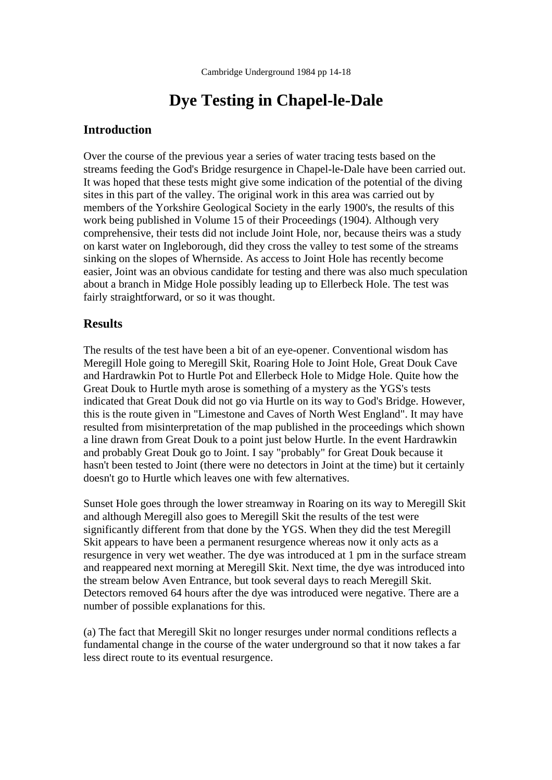# **Dye Testing in Chapel-le-Dale**

## **Introduction**

Over the course of the previous year a series of water tracing tests based on the streams feeding the God's Bridge resurgence in Chapel-le-Dale have been carried out. It was hoped that these tests might give some indication of the potential of the diving sites in this part of the valley. The original work in this area was carried out by members of the Yorkshire Geological Society in the early 1900's, the results of this work being published in Volume 15 of their Proceedings (1904). Although very comprehensive, their tests did not include Joint Hole, nor, because theirs was a study on karst water on Ingleborough, did they cross the valley to test some of the streams sinking on the slopes of Whernside. As access to Joint Hole has recently become easier, Joint was an obvious candidate for testing and there was also much speculation about a branch in Midge Hole possibly leading up to Ellerbeck Hole. The test was fairly straightforward, or so it was thought.

# **Results**

The results of the test have been a bit of an eye-opener. Conventional wisdom has Meregill Hole going to Meregill Skit, Roaring Hole to Joint Hole, Great Douk Cave and Hardrawkin Pot to Hurtle Pot and Ellerbeck Hole to Midge Hole. Quite how the Great Douk to Hurtle myth arose is something of a mystery as the YGS's tests indicated that Great Douk did not go via Hurtle on its way to God's Bridge. However, this is the route given in "Limestone and Caves of North West England". It may have resulted from misinterpretation of the map published in the proceedings which shown a line drawn from Great Douk to a point just below Hurtle. In the event Hardrawkin and probably Great Douk go to Joint. I say "probably" for Great Douk because it hasn't been tested to Joint (there were no detectors in Joint at the time) but it certainly doesn't go to Hurtle which leaves one with few alternatives.

Sunset Hole goes through the lower streamway in Roaring on its way to Meregill Skit and although Meregill also goes to Meregill Skit the results of the test were significantly different from that done by the YGS. When they did the test Meregill Skit appears to have been a permanent resurgence whereas now it only acts as a resurgence in very wet weather. The dye was introduced at 1 pm in the surface stream and reappeared next morning at Meregill Skit. Next time, the dye was introduced into the stream below Aven Entrance, but took several days to reach Meregill Skit. Detectors removed 64 hours after the dye was introduced were negative. There are a number of possible explanations for this.

(a) The fact that Meregill Skit no longer resurges under normal conditions reflects a fundamental change in the course of the water underground so that it now takes a far less direct route to its eventual resurgence.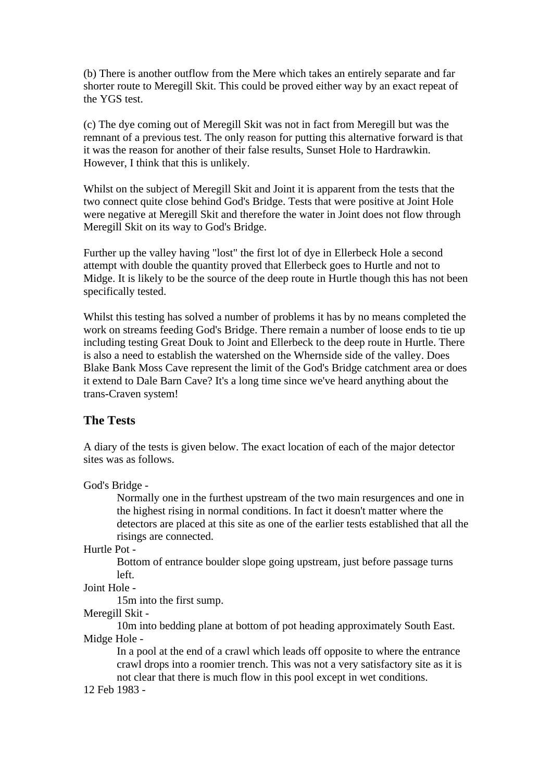(b) There is another outflow from the Mere which takes an entirely separate and far shorter route to Meregill Skit. This could be proved either way by an exact repeat of the YGS test.

(c) The dye coming out of Meregill Skit was not in fact from Meregill but was the remnant of a previous test. The only reason for putting this alternative forward is that it was the reason for another of their false results, Sunset Hole to Hardrawkin. However, I think that this is unlikely.

Whilst on the subject of Meregill Skit and Joint it is apparent from the tests that the two connect quite close behind God's Bridge. Tests that were positive at Joint Hole were negative at Meregill Skit and therefore the water in Joint does not flow through Meregill Skit on its way to God's Bridge.

Further up the valley having "lost" the first lot of dye in Ellerbeck Hole a second attempt with double the quantity proved that Ellerbeck goes to Hurtle and not to Midge. It is likely to be the source of the deep route in Hurtle though this has not been specifically tested.

Whilst this testing has solved a number of problems it has by no means completed the work on streams feeding God's Bridge. There remain a number of loose ends to tie up including testing Great Douk to Joint and Ellerbeck to the deep route in Hurtle. There is also a need to establish the watershed on the Whernside side of the valley. Does Blake Bank Moss Cave represent the limit of the God's Bridge catchment area or does it extend to Dale Barn Cave? It's a long time since we've heard anything about the trans-Craven system!

# **The Tests**

A diary of the tests is given below. The exact location of each of the major detector sites was as follows.

God's Bridge -

Normally one in the furthest upstream of the two main resurgences and one in the highest rising in normal conditions. In fact it doesn't matter where the detectors are placed at this site as one of the earlier tests established that all the risings are connected.

Hurtle Pot -

Bottom of entrance boulder slope going upstream, just before passage turns left.

Joint Hole -

15m into the first sump.

Meregill Skit - 10m into bedding plane at bottom of pot heading approximately South East.

Midge Hole -

In a pool at the end of a crawl which leads off opposite to where the entrance crawl drops into a roomier trench. This was not a very satisfactory site as it is not clear that there is much flow in this pool except in wet conditions.

```
12 Feb 1983 -
```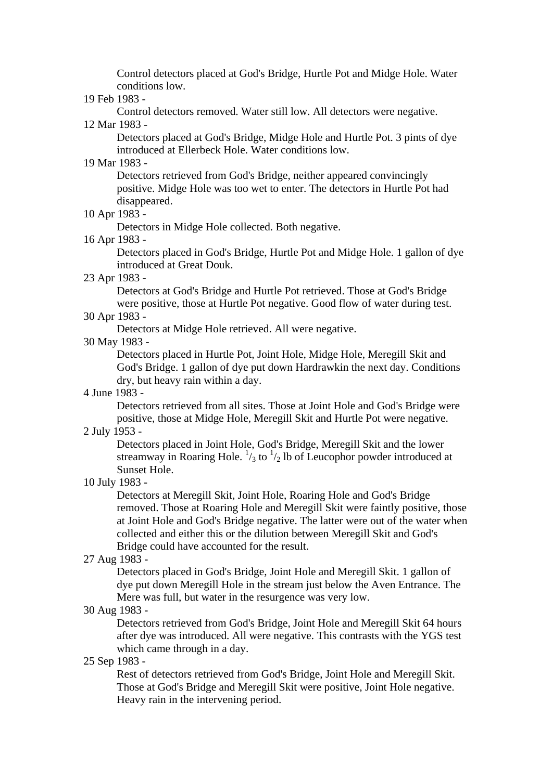Control detectors placed at God's Bridge, Hurtle Pot and Midge Hole. Water conditions low.

## 19 Feb 1983 -

Control detectors removed. Water still low. All detectors were negative. 12 Mar 1983 -

Detectors placed at God's Bridge, Midge Hole and Hurtle Pot. 3 pints of dye introduced at Ellerbeck Hole. Water conditions low.

#### 19 Mar 1983 -

Detectors retrieved from God's Bridge, neither appeared convincingly positive. Midge Hole was too wet to enter. The detectors in Hurtle Pot had disappeared.

#### 10 Apr 1983 -

Detectors in Midge Hole collected. Both negative.

## 16 Apr 1983 -

Detectors placed in God's Bridge, Hurtle Pot and Midge Hole. 1 gallon of dye introduced at Great Douk.

## 23 Apr 1983 -

Detectors at God's Bridge and Hurtle Pot retrieved. Those at God's Bridge were positive, those at Hurtle Pot negative. Good flow of water during test.

#### 30 Apr 1983 -

Detectors at Midge Hole retrieved. All were negative.

## 30 May 1983 -

Detectors placed in Hurtle Pot, Joint Hole, Midge Hole, Meregill Skit and God's Bridge. 1 gallon of dye put down Hardrawkin the next day. Conditions dry, but heavy rain within a day.

## 4 June 1983 -

Detectors retrieved from all sites. Those at Joint Hole and God's Bridge were positive, those at Midge Hole, Meregill Skit and Hurtle Pot were negative.

#### 2 July 1953 -

Detectors placed in Joint Hole, God's Bridge, Meregill Skit and the lower streamway in Roaring Hole.  $\frac{1}{3}$  to  $\frac{1}{2}$  lb of Leucophor powder introduced at Sunset Hole.

#### 10 July 1983 -

Detectors at Meregill Skit, Joint Hole, Roaring Hole and God's Bridge removed. Those at Roaring Hole and Meregill Skit were faintly positive, those at Joint Hole and God's Bridge negative. The latter were out of the water when collected and either this or the dilution between Meregill Skit and God's Bridge could have accounted for the result.

#### 27 Aug 1983 -

Detectors placed in God's Bridge, Joint Hole and Meregill Skit. 1 gallon of dye put down Meregill Hole in the stream just below the Aven Entrance. The Mere was full, but water in the resurgence was very low.

#### 30 Aug 1983 -

Detectors retrieved from God's Bridge, Joint Hole and Meregill Skit 64 hours after dye was introduced. All were negative. This contrasts with the YGS test which came through in a day.

#### 25 Sep 1983 -

Rest of detectors retrieved from God's Bridge, Joint Hole and Meregill Skit. Those at God's Bridge and Meregill Skit were positive, Joint Hole negative. Heavy rain in the intervening period.